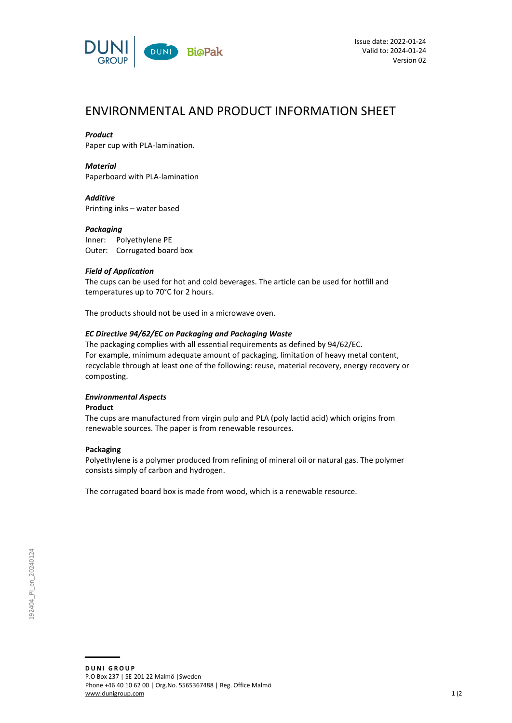

# ENVIRONMENTAL AND PRODUCT INFORMATION SHEET

# *Product*

Paper cup with PLA-lamination.

*Material* Paperboard with PLA-lamination

*Additive* Printing inks – water based

## *Packaging*

Inner: Polyethylene PE Outer: Corrugated board box

## *Field of Application*

The cups can be used for hot and cold beverages. The article can be used for hotfill and temperatures up to 70°C for 2 hours.

The products should not be used in a microwave oven.

# *EC Directive 94/62/EC on Packaging and Packaging Waste*

The packaging complies with all essential requirements as defined by 94/62/EC. For example, minimum adequate amount of packaging, limitation of heavy metal content, recyclable through at least one of the following: reuse, material recovery, energy recovery or composting.

# *Environmental Aspects*

#### **Product**

The cups are manufactured from virgin pulp and PLA (poly lactid acid) which origins from renewable sources. The paper is from renewable resources.

#### **Packaging**

Polyethylene is a polymer produced from refining of mineral oil or natural gas. The polymer consists simply of carbon and hydrogen.

The corrugated board box is made from wood, which is a renewable resource.